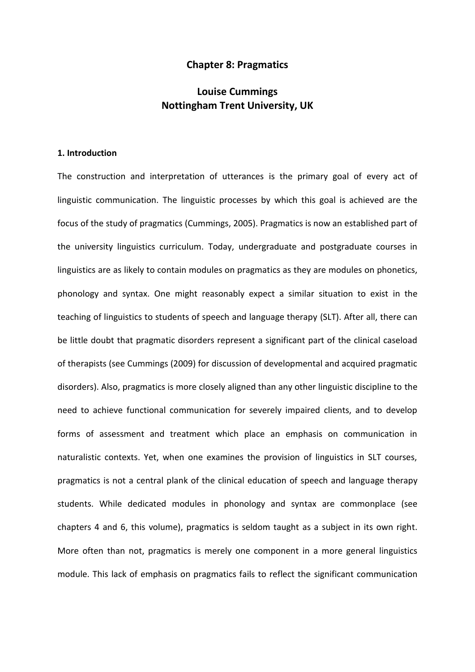## **Chapter 8: Pragmatics**

# **Louise Cummings Nottingham Trent University, UK**

# **1. Introduction**

The construction and interpretation of utterances is the primary goal of every act of linguistic communication. The linguistic processes by which this goal is achieved are the focus of the study of pragmatics (Cummings, 2005). Pragmatics is now an established part of the university linguistics curriculum. Today, undergraduate and postgraduate courses in linguistics are as likely to contain modules on pragmatics as they are modules on phonetics, phonology and syntax. One might reasonably expect a similar situation to exist in the teaching of linguistics to students of speech and language therapy (SLT). After all, there can be little doubt that pragmatic disorders represent a significant part of the clinical caseload of therapists (see Cummings (2009) for discussion of developmental and acquired pragmatic disorders). Also, pragmatics is more closely aligned than any other linguistic discipline to the need to achieve functional communication for severely impaired clients, and to develop forms of assessment and treatment which place an emphasis on communication in naturalistic contexts. Yet, when one examines the provision of linguistics in SLT courses, pragmatics is not a central plank of the clinical education of speech and language therapy students. While dedicated modules in phonology and syntax are commonplace (see chapters 4 and 6, this volume), pragmatics is seldom taught as a subject in its own right. More often than not, pragmatics is merely one component in a more general linguistics module. This lack of emphasis on pragmatics fails to reflect the significant communication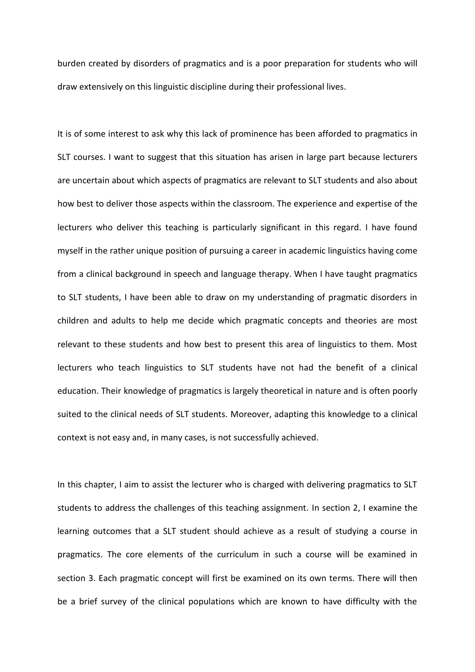burden created by disorders of pragmatics and is a poor preparation for students who will draw extensively on this linguistic discipline during their professional lives.

It is of some interest to ask why this lack of prominence has been afforded to pragmatics in SLT courses. I want to suggest that this situation has arisen in large part because lecturers are uncertain about which aspects of pragmatics are relevant to SLT students and also about how best to deliver those aspects within the classroom. The experience and expertise of the lecturers who deliver this teaching is particularly significant in this regard. I have found myself in the rather unique position of pursuing a career in academic linguistics having come from a clinical background in speech and language therapy. When I have taught pragmatics to SLT students, I have been able to draw on my understanding of pragmatic disorders in children and adults to help me decide which pragmatic concepts and theories are most relevant to these students and how best to present this area of linguistics to them. Most lecturers who teach linguistics to SLT students have not had the benefit of a clinical education. Their knowledge of pragmatics is largely theoretical in nature and is often poorly suited to the clinical needs of SLT students. Moreover, adapting this knowledge to a clinical context is not easy and, in many cases, is not successfully achieved.

In this chapter, I aim to assist the lecturer who is charged with delivering pragmatics to SLT students to address the challenges of this teaching assignment. In section 2, I examine the learning outcomes that a SLT student should achieve as a result of studying a course in pragmatics. The core elements of the curriculum in such a course will be examined in section 3. Each pragmatic concept will first be examined on its own terms. There will then be a brief survey of the clinical populations which are known to have difficulty with the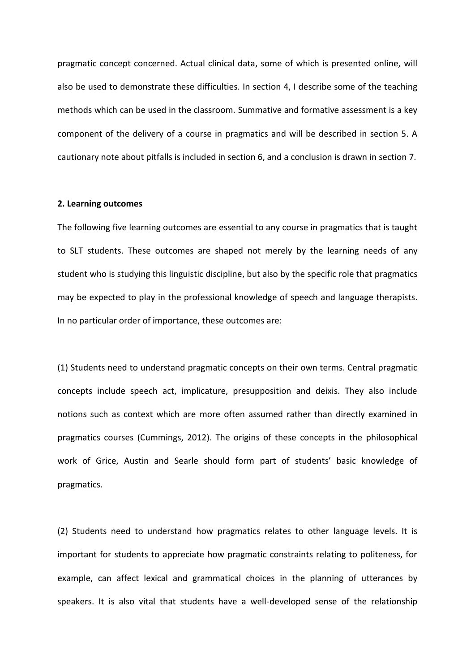pragmatic concept concerned. Actual clinical data, some of which is presented online, will also be used to demonstrate these difficulties. In section 4, I describe some of the teaching methods which can be used in the classroom. Summative and formative assessment is a key component of the delivery of a course in pragmatics and will be described in section 5. A cautionary note about pitfalls is included in section 6, and a conclusion is drawn in section 7.

#### **2. Learning outcomes**

The following five learning outcomes are essential to any course in pragmatics that is taught to SLT students. These outcomes are shaped not merely by the learning needs of any student who is studying this linguistic discipline, but also by the specific role that pragmatics may be expected to play in the professional knowledge of speech and language therapists. In no particular order of importance, these outcomes are:

(1) Students need to understand pragmatic concepts on their own terms. Central pragmatic concepts include speech act, implicature, presupposition and deixis. They also include notions such as context which are more often assumed rather than directly examined in pragmatics courses (Cummings, 2012). The origins of these concepts in the philosophical work of Grice, Austin and Searle should form part of students' basic knowledge of pragmatics.

(2) Students need to understand how pragmatics relates to other language levels. It is important for students to appreciate how pragmatic constraints relating to politeness, for example, can affect lexical and grammatical choices in the planning of utterances by speakers. It is also vital that students have a well-developed sense of the relationship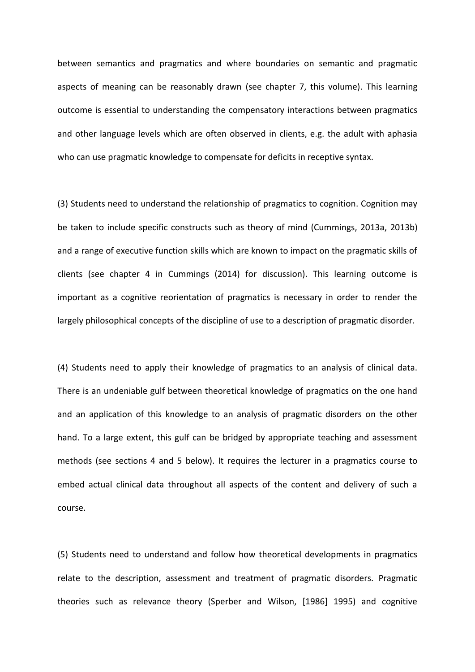between semantics and pragmatics and where boundaries on semantic and pragmatic aspects of meaning can be reasonably drawn (see chapter 7, this volume). This learning outcome is essential to understanding the compensatory interactions between pragmatics and other language levels which are often observed in clients, e.g. the adult with aphasia who can use pragmatic knowledge to compensate for deficits in receptive syntax.

(3) Students need to understand the relationship of pragmatics to cognition. Cognition may be taken to include specific constructs such as theory of mind (Cummings, 2013a, 2013b) and a range of executive function skills which are known to impact on the pragmatic skills of clients (see chapter 4 in Cummings (2014) for discussion). This learning outcome is important as a cognitive reorientation of pragmatics is necessary in order to render the largely philosophical concepts of the discipline of use to a description of pragmatic disorder.

(4) Students need to apply their knowledge of pragmatics to an analysis of clinical data. There is an undeniable gulf between theoretical knowledge of pragmatics on the one hand and an application of this knowledge to an analysis of pragmatic disorders on the other hand. To a large extent, this gulf can be bridged by appropriate teaching and assessment methods (see sections 4 and 5 below). It requires the lecturer in a pragmatics course to embed actual clinical data throughout all aspects of the content and delivery of such a course.

(5) Students need to understand and follow how theoretical developments in pragmatics relate to the description, assessment and treatment of pragmatic disorders. Pragmatic theories such as relevance theory (Sperber and Wilson, [1986] 1995) and cognitive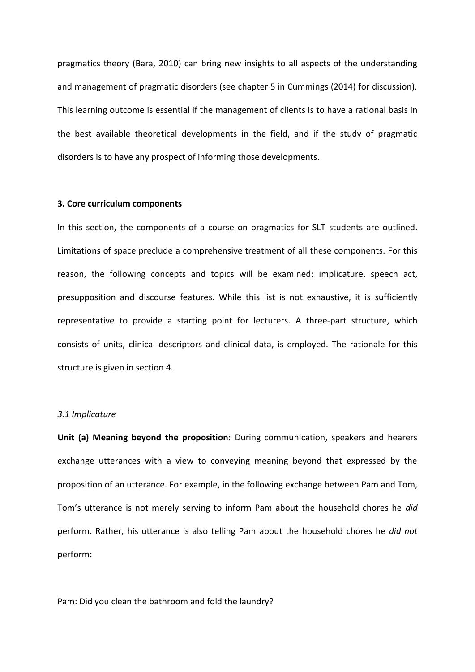pragmatics theory (Bara, 2010) can bring new insights to all aspects of the understanding and management of pragmatic disorders (see chapter 5 in Cummings (2014) for discussion). This learning outcome is essential if the management of clients is to have a rational basis in the best available theoretical developments in the field, and if the study of pragmatic disorders is to have any prospect of informing those developments.

#### **3. Core curriculum components**

In this section, the components of a course on pragmatics for SLT students are outlined. Limitations of space preclude a comprehensive treatment of all these components. For this reason, the following concepts and topics will be examined: implicature, speech act, presupposition and discourse features. While this list is not exhaustive, it is sufficiently representative to provide a starting point for lecturers. A three-part structure, which consists of units, clinical descriptors and clinical data, is employed. The rationale for this structure is given in section 4.

## *3.1 Implicature*

**Unit (a) Meaning beyond the proposition:** During communication, speakers and hearers exchange utterances with a view to conveying meaning beyond that expressed by the proposition of an utterance. For example, in the following exchange between Pam and Tom, Tom's utterance is not merely serving to inform Pam about the household chores he *did* perform. Rather, his utterance is also telling Pam about the household chores he *did not* perform:

Pam: Did you clean the bathroom and fold the laundry?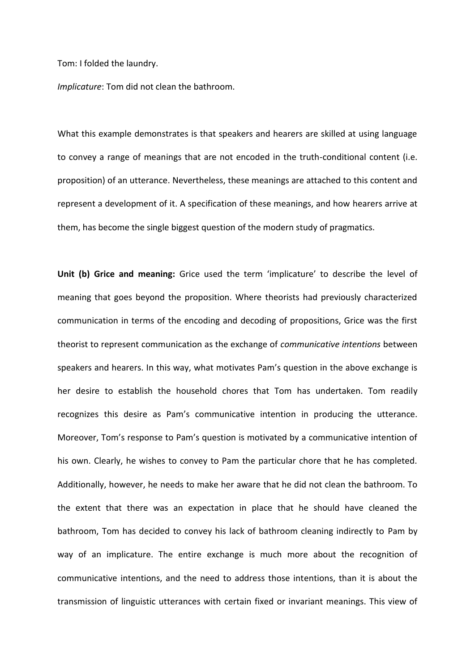Tom: I folded the laundry.

*Implicature*: Tom did not clean the bathroom.

What this example demonstrates is that speakers and hearers are skilled at using language to convey a range of meanings that are not encoded in the truth-conditional content (i.e. proposition) of an utterance. Nevertheless, these meanings are attached to this content and represent a development of it. A specification of these meanings, and how hearers arrive at them, has become the single biggest question of the modern study of pragmatics.

**Unit (b) Grice and meaning:** Grice used the term 'implicature' to describe the level of meaning that goes beyond the proposition. Where theorists had previously characterized communication in terms of the encoding and decoding of propositions, Grice was the first theorist to represent communication as the exchange of *communicative intentions* between speakers and hearers. In this way, what motivates Pam's question in the above exchange is her desire to establish the household chores that Tom has undertaken. Tom readily recognizes this desire as Pam's communicative intention in producing the utterance. Moreover, Tom's response to Pam's question is motivated by a communicative intention of his own. Clearly, he wishes to convey to Pam the particular chore that he has completed. Additionally, however, he needs to make her aware that he did not clean the bathroom. To the extent that there was an expectation in place that he should have cleaned the bathroom, Tom has decided to convey his lack of bathroom cleaning indirectly to Pam by way of an implicature. The entire exchange is much more about the recognition of communicative intentions, and the need to address those intentions, than it is about the transmission of linguistic utterances with certain fixed or invariant meanings. This view of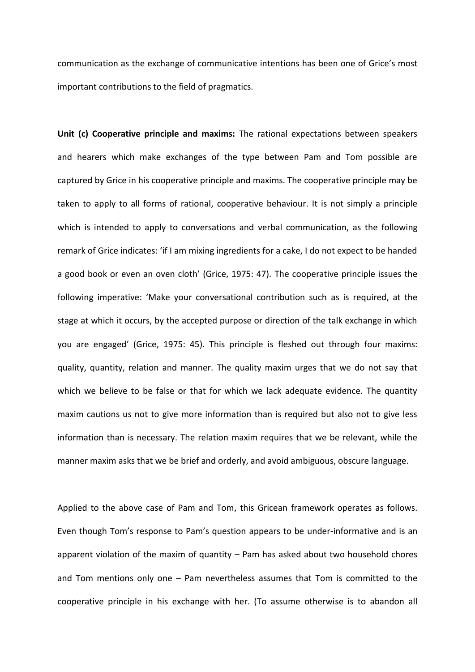communication as the exchange of communicative intentions has been one of Grice's most important contributions to the field of pragmatics.

**Unit (c) Cooperative principle and maxims:** The rational expectations between speakers and hearers which make exchanges of the type between Pam and Tom possible are captured by Grice in his cooperative principle and maxims. The cooperative principle may be taken to apply to all forms of rational, cooperative behaviour. It is not simply a principle which is intended to apply to conversations and verbal communication, as the following remark of Grice indicates: 'if I am mixing ingredients for a cake, I do not expect to be handed a good book or even an oven cloth' (Grice, 1975: 47). The cooperative principle issues the following imperative: 'Make your conversational contribution such as is required, at the stage at which it occurs, by the accepted purpose or direction of the talk exchange in which you are engaged' (Grice, 1975: 45). This principle is fleshed out through four maxims: quality, quantity, relation and manner. The quality maxim urges that we do not say that which we believe to be false or that for which we lack adequate evidence. The quantity maxim cautions us not to give more information than is required but also not to give less information than is necessary. The relation maxim requires that we be relevant, while the manner maxim asks that we be brief and orderly, and avoid ambiguous, obscure language.

Applied to the above case of Pam and Tom, this Gricean framework operates as follows. Even though Tom's response to Pam's question appears to be under-informative and is an apparent violation of the maxim of quantity – Pam has asked about two household chores and Tom mentions only one – Pam nevertheless assumes that Tom is committed to the cooperative principle in his exchange with her. (To assume otherwise is to abandon all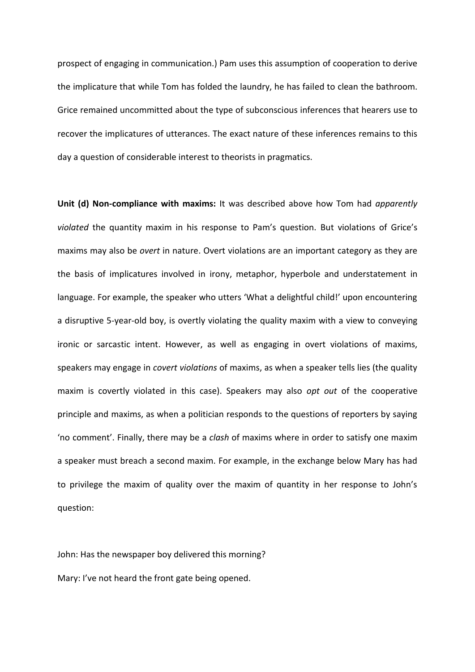prospect of engaging in communication.) Pam uses this assumption of cooperation to derive the implicature that while Tom has folded the laundry, he has failed to clean the bathroom. Grice remained uncommitted about the type of subconscious inferences that hearers use to recover the implicatures of utterances. The exact nature of these inferences remains to this day a question of considerable interest to theorists in pragmatics.

**Unit (d) Non-compliance with maxims:** It was described above how Tom had *apparently violated* the quantity maxim in his response to Pam's question. But violations of Grice's maxims may also be *overt* in nature. Overt violations are an important category as they are the basis of implicatures involved in irony, metaphor, hyperbole and understatement in language. For example, the speaker who utters 'What a delightful child!' upon encountering a disruptive 5-year-old boy, is overtly violating the quality maxim with a view to conveying ironic or sarcastic intent. However, as well as engaging in overt violations of maxims, speakers may engage in *covert violations* of maxims, as when a speaker tells lies (the quality maxim is covertly violated in this case). Speakers may also *opt out* of the cooperative principle and maxims, as when a politician responds to the questions of reporters by saying 'no comment'. Finally, there may be a *clash* of maxims where in order to satisfy one maxim a speaker must breach a second maxim. For example, in the exchange below Mary has had to privilege the maxim of quality over the maxim of quantity in her response to John's question:

John: Has the newspaper boy delivered this morning? Mary: I've not heard the front gate being opened.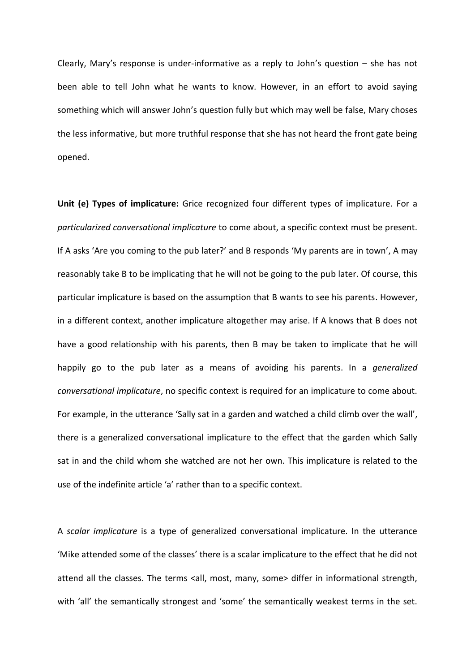Clearly, Mary's response is under-informative as a reply to John's question – she has not been able to tell John what he wants to know. However, in an effort to avoid saying something which will answer John's question fully but which may well be false, Mary choses the less informative, but more truthful response that she has not heard the front gate being opened.

**Unit (e) Types of implicature:** Grice recognized four different types of implicature. For a *particularized conversational implicature* to come about, a specific context must be present. If A asks 'Are you coming to the pub later?' and B responds 'My parents are in town', A may reasonably take B to be implicating that he will not be going to the pub later. Of course, this particular implicature is based on the assumption that B wants to see his parents. However, in a different context, another implicature altogether may arise. If A knows that B does not have a good relationship with his parents, then B may be taken to implicate that he will happily go to the pub later as a means of avoiding his parents. In a *generalized conversational implicature*, no specific context is required for an implicature to come about. For example, in the utterance 'Sally sat in a garden and watched a child climb over the wall', there is a generalized conversational implicature to the effect that the garden which Sally sat in and the child whom she watched are not her own. This implicature is related to the use of the indefinite article 'a' rather than to a specific context.

A *scalar implicature* is a type of generalized conversational implicature. In the utterance 'Mike attended some of the classes' there is a scalar implicature to the effect that he did not attend all the classes. The terms <all, most, many, some> differ in informational strength, with 'all' the semantically strongest and 'some' the semantically weakest terms in the set.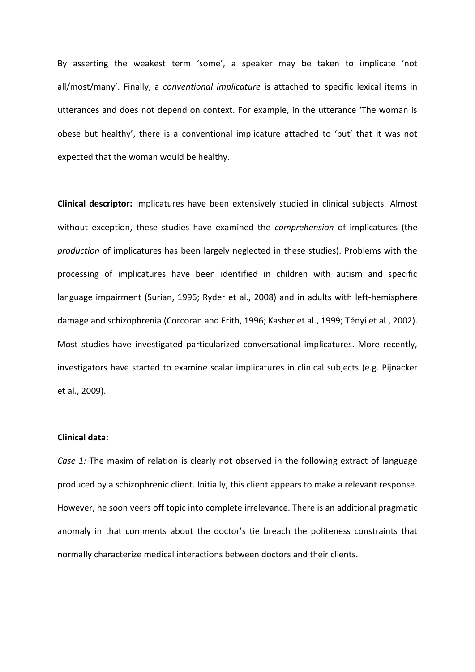By asserting the weakest term 'some', a speaker may be taken to implicate 'not all/most/many'. Finally, a *conventional implicature* is attached to specific lexical items in utterances and does not depend on context. For example, in the utterance 'The woman is obese but healthy', there is a conventional implicature attached to 'but' that it was not expected that the woman would be healthy.

**Clinical descriptor:** Implicatures have been extensively studied in clinical subjects. Almost without exception, these studies have examined the *comprehension* of implicatures (the *production* of implicatures has been largely neglected in these studies). Problems with the processing of implicatures have been identified in children with autism and specific language impairment (Surian, 1996; Ryder et al., 2008) and in adults with left-hemisphere damage and schizophrenia (Corcoran and Frith, 1996; Kasher et al., 1999; Tényi et al., 2002). Most studies have investigated particularized conversational implicatures. More recently, investigators have started to examine scalar implicatures in clinical subjects (e.g. Pijnacker et al., 2009).

## **Clinical data:**

*Case 1:* The maxim of relation is clearly not observed in the following extract of language produced by a schizophrenic client. Initially, this client appears to make a relevant response. However, he soon veers off topic into complete irrelevance. There is an additional pragmatic anomaly in that comments about the doctor's tie breach the politeness constraints that normally characterize medical interactions between doctors and their clients.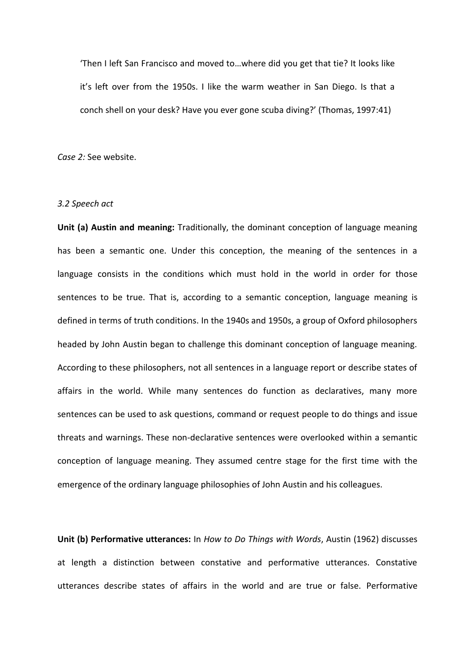'Then I left San Francisco and moved to…where did you get that tie? It looks like it's left over from the 1950s. I like the warm weather in San Diego. Is that a conch shell on your desk? Have you ever gone scuba diving?' (Thomas, 1997:41)

*Case 2:* See website.

### *3.2 Speech act*

**Unit (a) Austin and meaning:** Traditionally, the dominant conception of language meaning has been a semantic one. Under this conception, the meaning of the sentences in a language consists in the conditions which must hold in the world in order for those sentences to be true. That is, according to a semantic conception, language meaning is defined in terms of truth conditions. In the 1940s and 1950s, a group of Oxford philosophers headed by John Austin began to challenge this dominant conception of language meaning. According to these philosophers, not all sentences in a language report or describe states of affairs in the world. While many sentences do function as declaratives, many more sentences can be used to ask questions, command or request people to do things and issue threats and warnings. These non-declarative sentences were overlooked within a semantic conception of language meaning. They assumed centre stage for the first time with the emergence of the ordinary language philosophies of John Austin and his colleagues.

**Unit (b) Performative utterances:** In *How to Do Things with Words*, Austin (1962) discusses at length a distinction between constative and performative utterances. Constative utterances describe states of affairs in the world and are true or false. Performative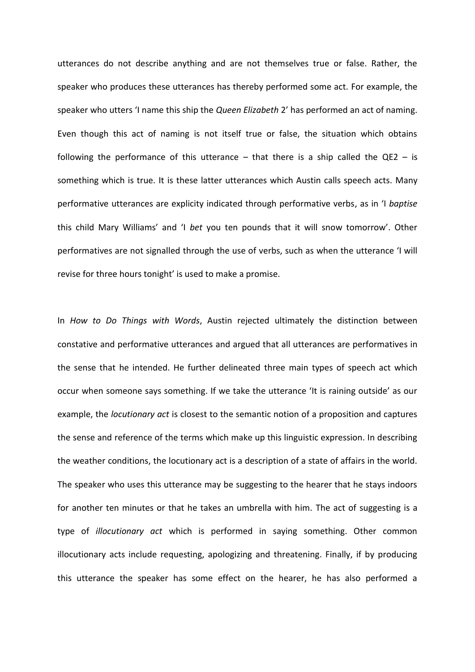utterances do not describe anything and are not themselves true or false. Rather, the speaker who produces these utterances has thereby performed some act. For example, the speaker who utters 'I name this ship the *Queen Elizabeth* 2' has performed an act of naming. Even though this act of naming is not itself true or false, the situation which obtains following the performance of this utterance  $-$  that there is a ship called the QE2  $-$  is something which is true. It is these latter utterances which Austin calls speech acts. Many performative utterances are explicity indicated through performative verbs, as in 'I *baptise* this child Mary Williams' and 'I *bet* you ten pounds that it will snow tomorrow'. Other performatives are not signalled through the use of verbs, such as when the utterance 'I will revise for three hours tonight' is used to make a promise.

In *How to Do Things with Words*, Austin rejected ultimately the distinction between constative and performative utterances and argued that all utterances are performatives in the sense that he intended. He further delineated three main types of speech act which occur when someone says something. If we take the utterance 'It is raining outside' as our example, the *locutionary act* is closest to the semantic notion of a proposition and captures the sense and reference of the terms which make up this linguistic expression. In describing the weather conditions, the locutionary act is a description of a state of affairs in the world. The speaker who uses this utterance may be suggesting to the hearer that he stays indoors for another ten minutes or that he takes an umbrella with him. The act of suggesting is a type of *illocutionary act* which is performed in saying something. Other common illocutionary acts include requesting, apologizing and threatening. Finally, if by producing this utterance the speaker has some effect on the hearer, he has also performed a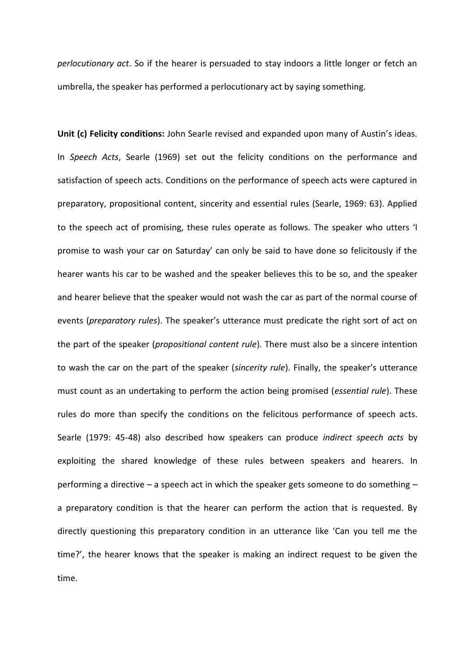*perlocutionary act*. So if the hearer is persuaded to stay indoors a little longer or fetch an umbrella, the speaker has performed a perlocutionary act by saying something.

**Unit (c) Felicity conditions:** John Searle revised and expanded upon many of Austin's ideas. In *Speech Acts*, Searle (1969) set out the felicity conditions on the performance and satisfaction of speech acts. Conditions on the performance of speech acts were captured in preparatory, propositional content, sincerity and essential rules (Searle, 1969: 63). Applied to the speech act of promising, these rules operate as follows. The speaker who utters 'I promise to wash your car on Saturday' can only be said to have done so felicitously if the hearer wants his car to be washed and the speaker believes this to be so, and the speaker and hearer believe that the speaker would not wash the car as part of the normal course of events (*preparatory rules*). The speaker's utterance must predicate the right sort of act on the part of the speaker (*propositional content rule*). There must also be a sincere intention to wash the car on the part of the speaker (*sincerity rule*). Finally, the speaker's utterance must count as an undertaking to perform the action being promised (*essential rule*). These rules do more than specify the conditions on the felicitous performance of speech acts. Searle (1979: 45-48) also described how speakers can produce *indirect speech acts* by exploiting the shared knowledge of these rules between speakers and hearers. In performing a directive – a speech act in which the speaker gets someone to do something – a preparatory condition is that the hearer can perform the action that is requested. By directly questioning this preparatory condition in an utterance like 'Can you tell me the time?', the hearer knows that the speaker is making an indirect request to be given the time.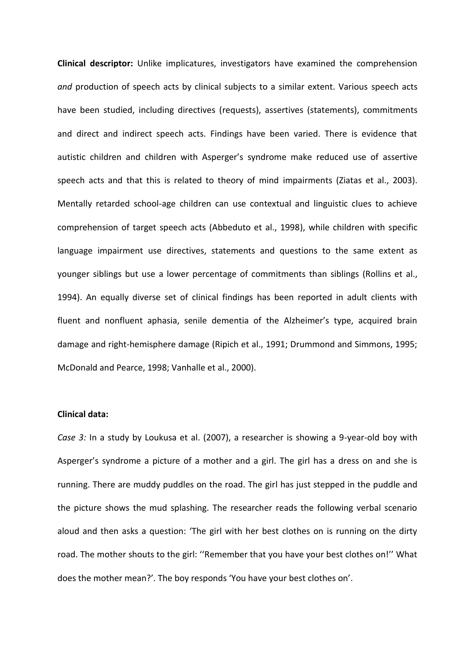**Clinical descriptor:** Unlike implicatures, investigators have examined the comprehension *and* production of speech acts by clinical subjects to a similar extent. Various speech acts have been studied, including directives (requests), assertives (statements), commitments and direct and indirect speech acts. Findings have been varied. There is evidence that autistic children and children with Asperger's syndrome make reduced use of assertive speech acts and that this is related to theory of mind impairments (Ziatas et al., 2003). Mentally retarded school-age children can use contextual and linguistic clues to achieve comprehension of target speech acts (Abbeduto et al., 1998), while children with specific language impairment use directives, statements and questions to the same extent as younger siblings but use a lower percentage of commitments than siblings (Rollins et al., 1994). An equally diverse set of clinical findings has been reported in adult clients with fluent and nonfluent aphasia, senile dementia of the Alzheimer's type, acquired brain damage and right-hemisphere damage (Ripich et al., 1991; Drummond and Simmons, 1995; McDonald and Pearce, 1998; Vanhalle et al., 2000).

## **Clinical data:**

*Case 3:* In a study by Loukusa et al. (2007), a researcher is showing a 9-year-old boy with Asperger's syndrome a picture of a mother and a girl. The girl has a dress on and she is running. There are muddy puddles on the road. The girl has just stepped in the puddle and the picture shows the mud splashing. The researcher reads the following verbal scenario aloud and then asks a question: 'The girl with her best clothes on is running on the dirty road. The mother shouts to the girl: ''Remember that you have your best clothes on!'' What does the mother mean?'. The boy responds 'You have your best clothes on'.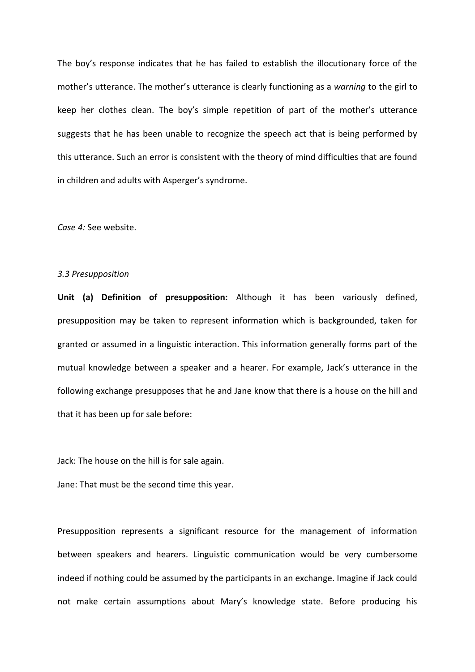The boy's response indicates that he has failed to establish the illocutionary force of the mother's utterance. The mother's utterance is clearly functioning as a *warning* to the girl to keep her clothes clean. The boy's simple repetition of part of the mother's utterance suggests that he has been unable to recognize the speech act that is being performed by this utterance. Such an error is consistent with the theory of mind difficulties that are found in children and adults with Asperger's syndrome.

*Case 4:* See website.

## *3.3 Presupposition*

**Unit (a) Definition of presupposition:** Although it has been variously defined, presupposition may be taken to represent information which is backgrounded, taken for granted or assumed in a linguistic interaction. This information generally forms part of the mutual knowledge between a speaker and a hearer. For example, Jack's utterance in the following exchange presupposes that he and Jane know that there is a house on the hill and that it has been up for sale before:

Jack: The house on the hill is for sale again.

Jane: That must be the second time this year.

Presupposition represents a significant resource for the management of information between speakers and hearers. Linguistic communication would be very cumbersome indeed if nothing could be assumed by the participants in an exchange. Imagine if Jack could not make certain assumptions about Mary's knowledge state. Before producing his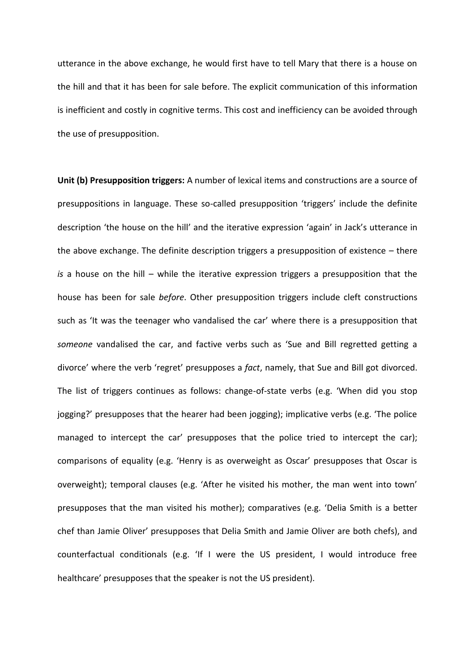utterance in the above exchange, he would first have to tell Mary that there is a house on the hill and that it has been for sale before. The explicit communication of this information is inefficient and costly in cognitive terms. This cost and inefficiency can be avoided through the use of presupposition.

**Unit (b) Presupposition triggers:** A number of lexical items and constructions are a source of presuppositions in language. These so-called presupposition 'triggers' include the definite description 'the house on the hill' and the iterative expression 'again' in Jack's utterance in the above exchange. The definite description triggers a presupposition of existence – there *is* a house on the hill – while the iterative expression triggers a presupposition that the house has been for sale *before*. Other presupposition triggers include cleft constructions such as 'It was the teenager who vandalised the car' where there is a presupposition that *someone* vandalised the car, and factive verbs such as 'Sue and Bill regretted getting a divorce' where the verb 'regret' presupposes a *fact*, namely, that Sue and Bill got divorced. The list of triggers continues as follows: change-of-state verbs (e.g. 'When did you stop jogging?' presupposes that the hearer had been jogging); implicative verbs (e.g. 'The police managed to intercept the car' presupposes that the police tried to intercept the car); comparisons of equality (e.g. 'Henry is as overweight as Oscar' presupposes that Oscar is overweight); temporal clauses (e.g. 'After he visited his mother, the man went into town' presupposes that the man visited his mother); comparatives (e.g. 'Delia Smith is a better chef than Jamie Oliver' presupposes that Delia Smith and Jamie Oliver are both chefs), and counterfactual conditionals (e.g. 'If I were the US president, I would introduce free healthcare' presupposes that the speaker is not the US president).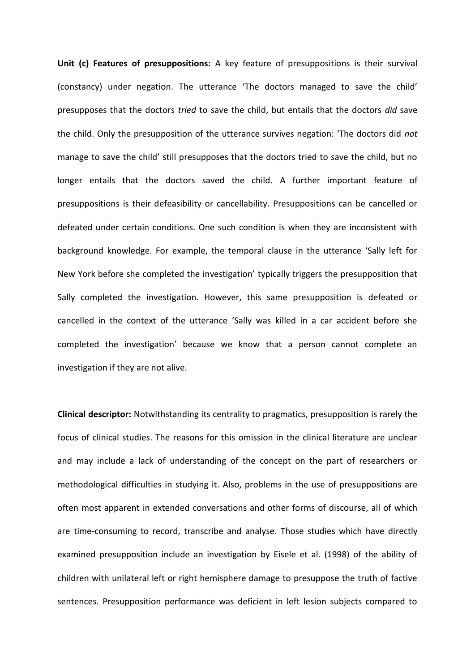**Unit (c) Features of presuppositions:** A key feature of presuppositions is their survival (constancy) under negation. The utterance 'The doctors managed to save the child' presupposes that the doctors *tried* to save the child, but entails that the doctors *did* save the child. Only the presupposition of the utterance survives negation: 'The doctors did *not* manage to save the child' still presupposes that the doctors tried to save the child, but no longer entails that the doctors saved the child. A further important feature of presuppositions is their defeasibility or cancellability. Presuppositions can be cancelled or defeated under certain conditions. One such condition is when they are inconsistent with background knowledge. For example, the temporal clause in the utterance 'Sally left for New York before she completed the investigation' typically triggers the presupposition that Sally completed the investigation. However, this same presupposition is defeated or cancelled in the context of the utterance 'Sally was killed in a car accident before she completed the investigation' because we know that a person cannot complete an investigation if they are not alive.

**Clinical descriptor:** Notwithstanding its centrality to pragmatics, presupposition is rarely the focus of clinical studies. The reasons for this omission in the clinical literature are unclear and may include a lack of understanding of the concept on the part of researchers or methodological difficulties in studying it. Also, problems in the use of presuppositions are often most apparent in extended conversations and other forms of discourse, all of which are time-consuming to record, transcribe and analyse. Those studies which have directly examined presupposition include an investigation by Eisele et al. (1998) of the ability of children with unilateral left or right hemisphere damage to presuppose the truth of factive sentences. Presupposition performance was deficient in left lesion subjects compared to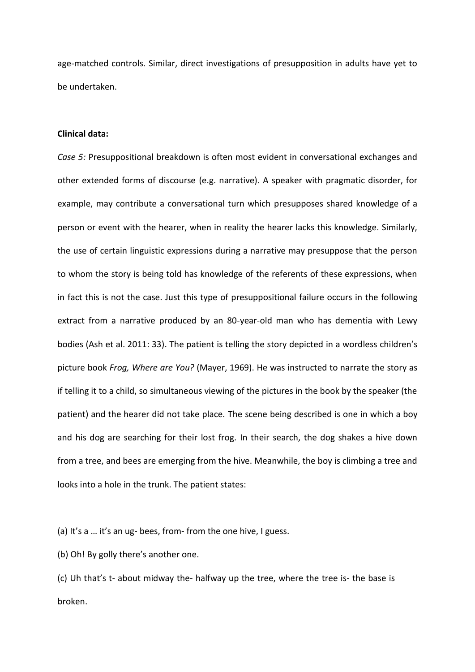age-matched controls. Similar, direct investigations of presupposition in adults have yet to be undertaken.

### **Clinical data:**

*Case 5:* Presuppositional breakdown is often most evident in conversational exchanges and other extended forms of discourse (e.g. narrative). A speaker with pragmatic disorder, for example, may contribute a conversational turn which presupposes shared knowledge of a person or event with the hearer, when in reality the hearer lacks this knowledge. Similarly, the use of certain linguistic expressions during a narrative may presuppose that the person to whom the story is being told has knowledge of the referents of these expressions, when in fact this is not the case. Just this type of presuppositional failure occurs in the following extract from a narrative produced by an 80-year-old man who has dementia with Lewy bodies (Ash et al. 2011: 33). The patient is telling the story depicted in a wordless children's picture book *Frog, Where are You?* (Mayer, 1969). He was instructed to narrate the story as if telling it to a child, so simultaneous viewing of the pictures in the book by the speaker (the patient) and the hearer did not take place. The scene being described is one in which a boy and his dog are searching for their lost frog. In their search, the dog shakes a hive down from a tree, and bees are emerging from the hive. Meanwhile, the boy is climbing a tree and looks into a hole in the trunk. The patient states:

(a) It's a … it's an ug- bees, from- from the one hive, I guess.

(b) Oh! By golly there's another one.

(c) Uh that's t- about midway the- halfway up the tree, where the tree is- the base is broken.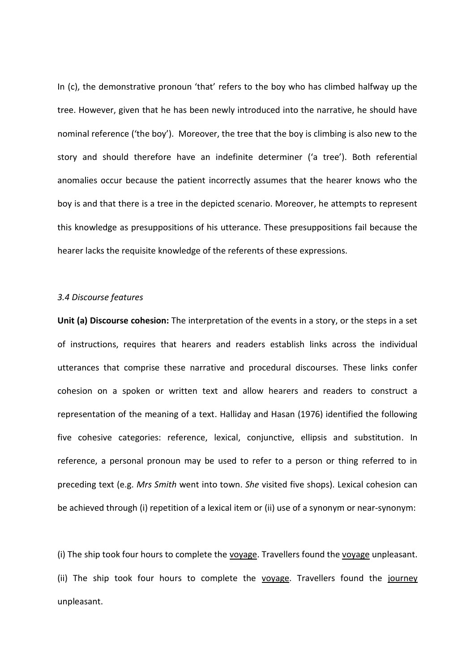In (c), the demonstrative pronoun 'that' refers to the boy who has climbed halfway up the tree. However, given that he has been newly introduced into the narrative, he should have nominal reference ('the boy'). Moreover, the tree that the boy is climbing is also new to the story and should therefore have an indefinite determiner ('a tree'). Both referential anomalies occur because the patient incorrectly assumes that the hearer knows who the boy is and that there is a tree in the depicted scenario. Moreover, he attempts to represent this knowledge as presuppositions of his utterance. These presuppositions fail because the hearer lacks the requisite knowledge of the referents of these expressions.

#### *3.4 Discourse features*

**Unit (a) Discourse cohesion:** The interpretation of the events in a story, or the steps in a set of instructions, requires that hearers and readers establish links across the individual utterances that comprise these narrative and procedural discourses. These links confer cohesion on a spoken or written text and allow hearers and readers to construct a representation of the meaning of a text. Halliday and Hasan (1976) identified the following five cohesive categories: reference, lexical, conjunctive, ellipsis and substitution. In reference, a personal pronoun may be used to refer to a person or thing referred to in preceding text (e.g. *Mrs Smith* went into town. *She* visited five shops). Lexical cohesion can be achieved through (i) repetition of a lexical item or (ii) use of a synonym or near-synonym:

(i) The ship took four hours to complete the voyage. Travellers found the voyage unpleasant. (ii) The ship took four hours to complete the voyage. Travellers found the journey unpleasant.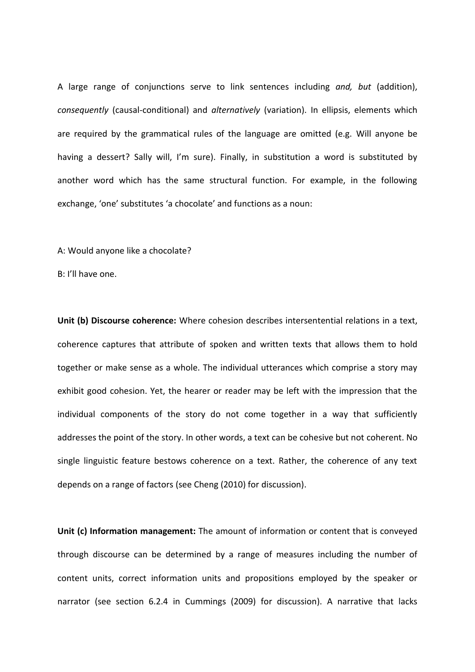A large range of conjunctions serve to link sentences including *and, but* (addition), *consequently* (causal-conditional) and *alternatively* (variation). In ellipsis, elements which are required by the grammatical rules of the language are omitted (e.g. Will anyone be having a dessert? Sally will, I'm sure). Finally, in substitution a word is substituted by another word which has the same structural function. For example, in the following exchange, 'one' substitutes 'a chocolate' and functions as a noun:

A: Would anyone like a chocolate?

B: I'll have one.

**Unit (b) Discourse coherence:** Where cohesion describes intersentential relations in a text, coherence captures that attribute of spoken and written texts that allows them to hold together or make sense as a whole. The individual utterances which comprise a story may exhibit good cohesion. Yet, the hearer or reader may be left with the impression that the individual components of the story do not come together in a way that sufficiently addresses the point of the story. In other words, a text can be cohesive but not coherent. No single linguistic feature bestows coherence on a text. Rather, the coherence of any text depends on a range of factors (see Cheng (2010) for discussion).

**Unit (c) Information management:** The amount of information or content that is conveyed through discourse can be determined by a range of measures including the number of content units, correct information units and propositions employed by the speaker or narrator (see section 6.2.4 in Cummings (2009) for discussion). A narrative that lacks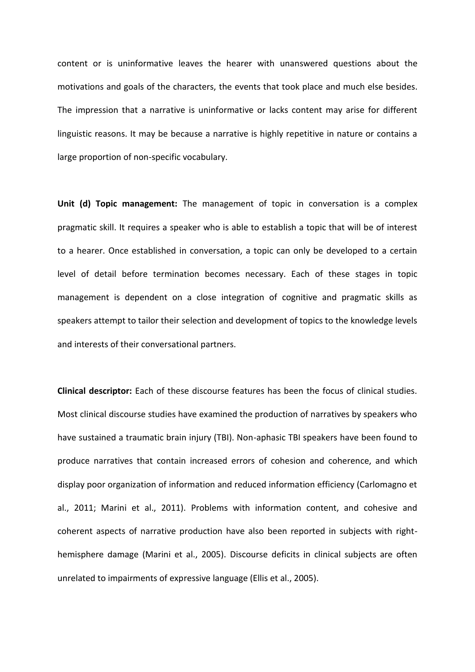content or is uninformative leaves the hearer with unanswered questions about the motivations and goals of the characters, the events that took place and much else besides. The impression that a narrative is uninformative or lacks content may arise for different linguistic reasons. It may be because a narrative is highly repetitive in nature or contains a large proportion of non-specific vocabulary.

**Unit (d) Topic management:** The management of topic in conversation is a complex pragmatic skill. It requires a speaker who is able to establish a topic that will be of interest to a hearer. Once established in conversation, a topic can only be developed to a certain level of detail before termination becomes necessary. Each of these stages in topic management is dependent on a close integration of cognitive and pragmatic skills as speakers attempt to tailor their selection and development of topics to the knowledge levels and interests of their conversational partners.

**Clinical descriptor:** Each of these discourse features has been the focus of clinical studies. Most clinical discourse studies have examined the production of narratives by speakers who have sustained a traumatic brain injury (TBI). Non-aphasic TBI speakers have been found to produce narratives that contain increased errors of cohesion and coherence, and which display poor organization of information and reduced information efficiency (Carlomagno et al., 2011; Marini et al., 2011). Problems with information content, and cohesive and coherent aspects of narrative production have also been reported in subjects with righthemisphere damage (Marini et al., 2005). Discourse deficits in clinical subjects are often unrelated to impairments of expressive language (Ellis et al., 2005).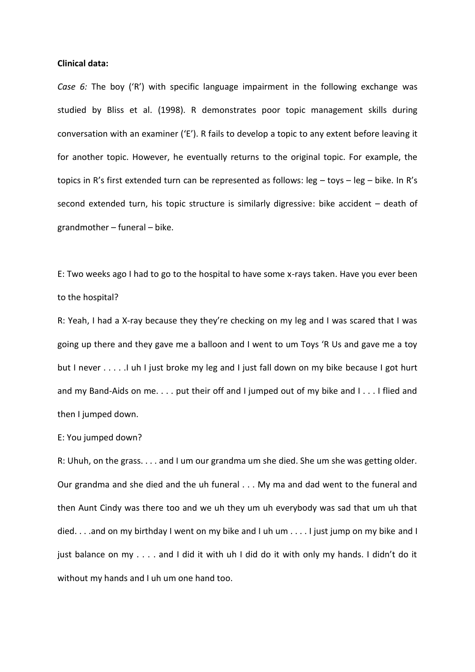#### **Clinical data:**

*Case 6:* The boy ('R') with specific language impairment in the following exchange was studied by Bliss et al. (1998). R demonstrates poor topic management skills during conversation with an examiner ('E'). R fails to develop a topic to any extent before leaving it for another topic. However, he eventually returns to the original topic. For example, the topics in R's first extended turn can be represented as follows: leg – toys – leg – bike. In R's second extended turn, his topic structure is similarly digressive: bike accident – death of grandmother – funeral – bike.

E: Two weeks ago I had to go to the hospital to have some x-rays taken. Have you ever been to the hospital?

R: Yeah, I had a X-ray because they they're checking on my leg and I was scared that I was going up there and they gave me a balloon and I went to um Toys 'R Us and gave me a toy but I never . . . . . I uh I just broke my leg and I just fall down on my bike because I got hurt and my Band-Aids on me. . . . put their off and I jumped out of my bike and I . . . I flied and then I jumped down.

#### E: You jumped down?

R: Uhuh, on the grass. . . . and I um our grandma um she died. She um she was getting older. Our grandma and she died and the uh funeral . . . My ma and dad went to the funeral and then Aunt Cindy was there too and we uh they um uh everybody was sad that um uh that died. . . .and on my birthday I went on my bike and I uh um . . . . I just jump on my bike and I just balance on my . . . . and I did it with uh I did do it with only my hands. I didn't do it without my hands and I uh um one hand too.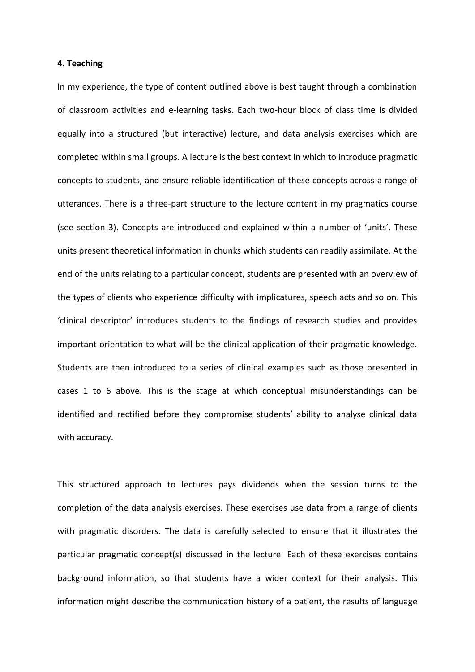#### **4. Teaching**

In my experience, the type of content outlined above is best taught through a combination of classroom activities and e-learning tasks. Each two-hour block of class time is divided equally into a structured (but interactive) lecture, and data analysis exercises which are completed within small groups. A lecture is the best context in which to introduce pragmatic concepts to students, and ensure reliable identification of these concepts across a range of utterances. There is a three-part structure to the lecture content in my pragmatics course (see section 3). Concepts are introduced and explained within a number of 'units'. These units present theoretical information in chunks which students can readily assimilate. At the end of the units relating to a particular concept, students are presented with an overview of the types of clients who experience difficulty with implicatures, speech acts and so on. This 'clinical descriptor' introduces students to the findings of research studies and provides important orientation to what will be the clinical application of their pragmatic knowledge. Students are then introduced to a series of clinical examples such as those presented in cases 1 to 6 above. This is the stage at which conceptual misunderstandings can be identified and rectified before they compromise students' ability to analyse clinical data with accuracy.

This structured approach to lectures pays dividends when the session turns to the completion of the data analysis exercises. These exercises use data from a range of clients with pragmatic disorders. The data is carefully selected to ensure that it illustrates the particular pragmatic concept(s) discussed in the lecture. Each of these exercises contains background information, so that students have a wider context for their analysis. This information might describe the communication history of a patient, the results of language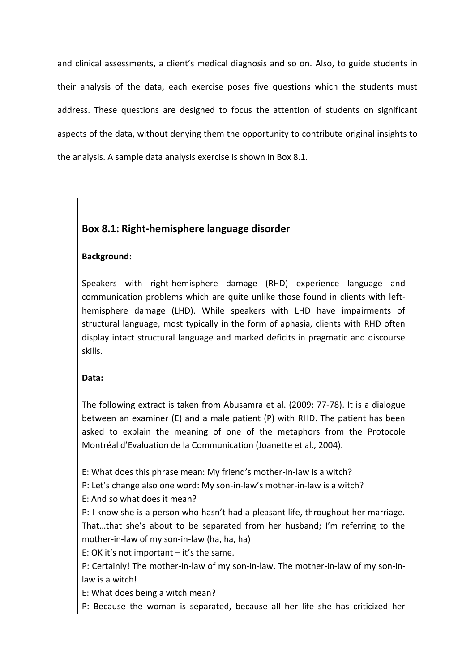and clinical assessments, a client's medical diagnosis and so on. Also, to guide students in their analysis of the data, each exercise poses five questions which the students must address. These questions are designed to focus the attention of students on significant aspects of the data, without denying them the opportunity to contribute original insights to the analysis. A sample data analysis exercise is shown in Box 8.1.

# **Box 8.1: Right-hemisphere language disorder**

# **Background:**

Speakers with right-hemisphere damage (RHD) experience language and communication problems which are quite unlike those found in clients with lefthemisphere damage (LHD). While speakers with LHD have impairments of structural language, most typically in the form of aphasia, clients with RHD often display intact structural language and marked deficits in pragmatic and discourse skills.

# **Data:**

The following extract is taken from Abusamra et al. (2009: 77-78). It is a dialogue between an examiner (E) and a male patient (P) with RHD. The patient has been asked to explain the meaning of one of the metaphors from the Protocole Montréal d'Evaluation de la Communication (Joanette et al., 2004).

E: What does this phrase mean: My friend's mother-in-law is a witch?

P: Let's change also one word: My son-in-law's mother-in-law is a witch?

E: And so what does it mean?

P: I know she is a person who hasn't had a pleasant life, throughout her marriage. That…that she's about to be separated from her husband; I'm referring to the mother-in-law of my son-in-law (ha, ha, ha)

E: OK it's not important – it's the same.

P: Certainly! The mother-in-law of my son-in-law. The mother-in-law of my son-inlaw is a witch!

E: What does being a witch mean?

P: Because the woman is separated, because all her life she has criticized her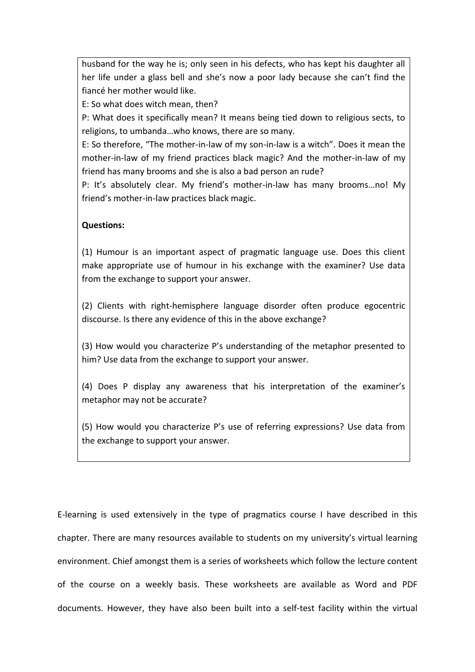husband for the way he is; only seen in his defects, who has kept his daughter all her life under a glass bell and she's now a poor lady because she can't find the fiancé her mother would like.

E: So what does witch mean, then?

P: What does it specifically mean? It means being tied down to religious sects, to religions, to umbanda…who knows, there are so many.

E: So therefore, "The mother-in-law of my son-in-law is a witch". Does it mean the mother-in-law of my friend practices black magic? And the mother-in-law of my friend has many brooms and she is also a bad person an rude?

P: It's absolutely clear. My friend's mother-in-law has many brooms…no! My friend's mother-in-law practices black magic.

# **Questions:**

(1) Humour is an important aspect of pragmatic language use. Does this client make appropriate use of humour in his exchange with the examiner? Use data from the exchange to support your answer.

(2) Clients with right-hemisphere language disorder often produce egocentric discourse. Is there any evidence of this in the above exchange?

(3) How would you characterize P's understanding of the metaphor presented to him? Use data from the exchange to support your answer.

(4) Does P display any awareness that his interpretation of the examiner's metaphor may not be accurate?

(5) How would you characterize P's use of referring expressions? Use data from the exchange to support your answer.

E-learning is used extensively in the type of pragmatics course I have described in this chapter. There are many resources available to students on my university's virtual learning environment. Chief amongst them is a series of worksheets which follow the lecture content of the course on a weekly basis. These worksheets are available as Word and PDF documents. However, they have also been built into a self-test facility within the virtual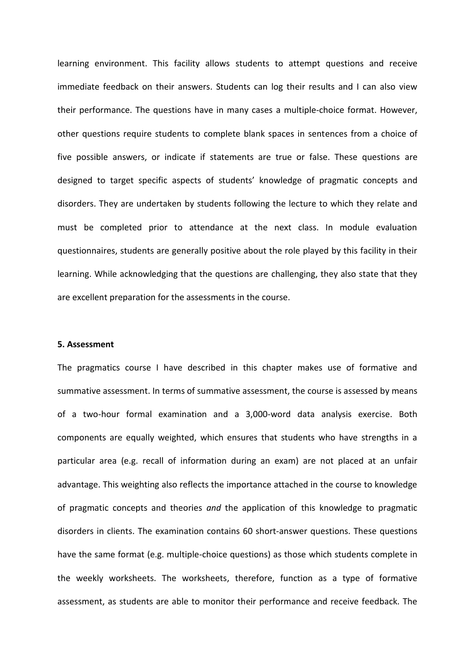learning environment. This facility allows students to attempt questions and receive immediate feedback on their answers. Students can log their results and I can also view their performance. The questions have in many cases a multiple-choice format. However, other questions require students to complete blank spaces in sentences from a choice of five possible answers, or indicate if statements are true or false. These questions are designed to target specific aspects of students' knowledge of pragmatic concepts and disorders. They are undertaken by students following the lecture to which they relate and must be completed prior to attendance at the next class. In module evaluation questionnaires, students are generally positive about the role played by this facility in their learning. While acknowledging that the questions are challenging, they also state that they are excellent preparation for the assessments in the course.

### **5. Assessment**

The pragmatics course I have described in this chapter makes use of formative and summative assessment. In terms of summative assessment, the course is assessed by means of a two-hour formal examination and a 3,000-word data analysis exercise. Both components are equally weighted, which ensures that students who have strengths in a particular area (e.g. recall of information during an exam) are not placed at an unfair advantage. This weighting also reflects the importance attached in the course to knowledge of pragmatic concepts and theories *and* the application of this knowledge to pragmatic disorders in clients. The examination contains 60 short-answer questions. These questions have the same format (e.g. multiple-choice questions) as those which students complete in the weekly worksheets. The worksheets, therefore, function as a type of formative assessment, as students are able to monitor their performance and receive feedback. The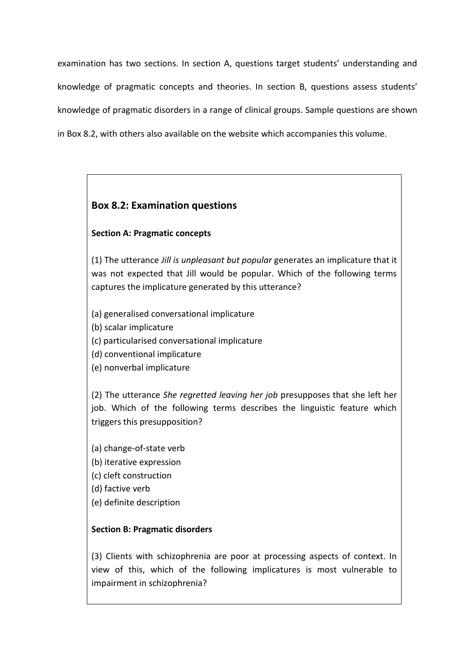examination has two sections. In section A, questions target students' understanding and knowledge of pragmatic concepts and theories. In section B, questions assess students' knowledge of pragmatic disorders in a range of clinical groups. Sample questions are shown in Box 8.2, with others also available on the website which accompanies this volume.

# **Box 8.2: Examination questions**

# **Section A: Pragmatic concepts**

(1) The utterance *Jill is unpleasant but popular* generates an implicature that it was not expected that Jill would be popular. Which of the following terms captures the implicature generated by this utterance?

- (a) generalised conversational implicature
- (b) scalar implicature
- (c) particularised conversational implicature
- (d) conventional implicature
- (e) nonverbal implicature

(2) The utterance *She regretted leaving her job* presupposes that she left her job. Which of the following terms describes the linguistic feature which triggers this presupposition?

- (a) change-of-state verb
- (b) iterative expression
- (c) cleft construction
- (d) factive verb
- (e) definite description

# **Section B: Pragmatic disorders**

(3) Clients with schizophrenia are poor at processing aspects of context. In view of this, which of the following implicatures is most vulnerable to impairment in schizophrenia?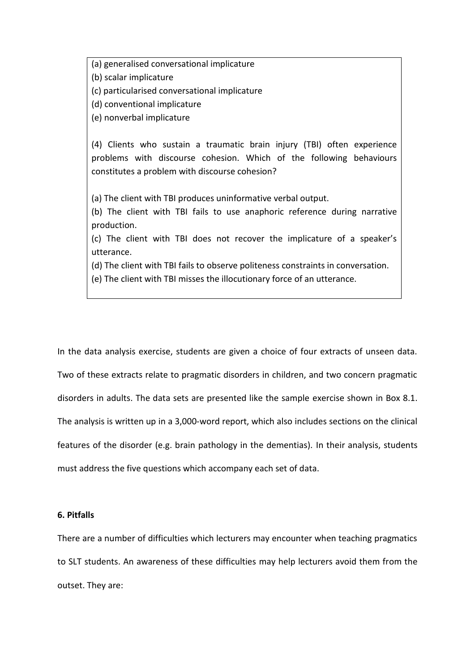(a) generalised conversational implicature

(b) scalar implicature

(c) particularised conversational implicature

(d) conventional implicature

(e) nonverbal implicature

(4) Clients who sustain a traumatic brain injury (TBI) often experience problems with discourse cohesion. Which of the following behaviours constitutes a problem with discourse cohesion?

(a) The client with TBI produces uninformative verbal output.

(b) The client with TBI fails to use anaphoric reference during narrative production.

(c) The client with TBI does not recover the implicature of a speaker's utterance.

(d) The client with TBI fails to observe politeness constraints in conversation.

(e) The client with TBI misses the illocutionary force of an utterance.

In the data analysis exercise, students are given a choice of four extracts of unseen data. Two of these extracts relate to pragmatic disorders in children, and two concern pragmatic disorders in adults. The data sets are presented like the sample exercise shown in Box 8.1. The analysis is written up in a 3,000-word report, which also includes sections on the clinical features of the disorder (e.g. brain pathology in the dementias). In their analysis, students must address the five questions which accompany each set of data.

# **6. Pitfalls**

There are a number of difficulties which lecturers may encounter when teaching pragmatics to SLT students. An awareness of these difficulties may help lecturers avoid them from the outset. They are: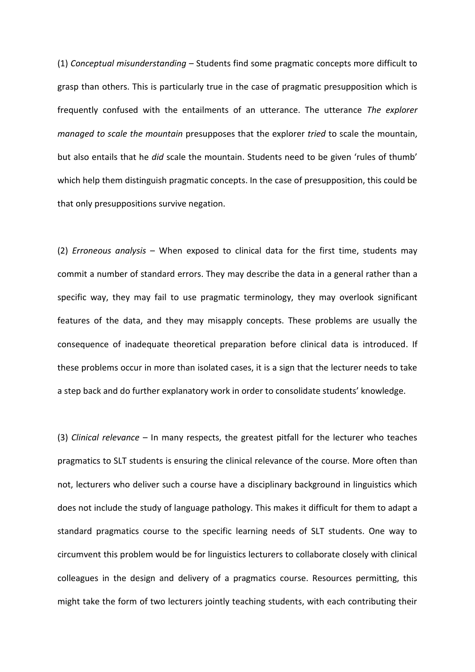(1) *Conceptual misunderstanding* – Students find some pragmatic concepts more difficult to grasp than others. This is particularly true in the case of pragmatic presupposition which is frequently confused with the entailments of an utterance. The utterance *The explorer managed to scale the mountain* presupposes that the explorer *tried* to scale the mountain, but also entails that he *did* scale the mountain. Students need to be given 'rules of thumb' which help them distinguish pragmatic concepts. In the case of presupposition, this could be that only presuppositions survive negation.

(2) *Erroneous analysis* – When exposed to clinical data for the first time, students may commit a number of standard errors. They may describe the data in a general rather than a specific way, they may fail to use pragmatic terminology, they may overlook significant features of the data, and they may misapply concepts. These problems are usually the consequence of inadequate theoretical preparation before clinical data is introduced. If these problems occur in more than isolated cases, it is a sign that the lecturer needs to take a step back and do further explanatory work in order to consolidate students' knowledge.

(3) *Clinical relevance* – In many respects, the greatest pitfall for the lecturer who teaches pragmatics to SLT students is ensuring the clinical relevance of the course. More often than not, lecturers who deliver such a course have a disciplinary background in linguistics which does not include the study of language pathology. This makes it difficult for them to adapt a standard pragmatics course to the specific learning needs of SLT students. One way to circumvent this problem would be for linguistics lecturers to collaborate closely with clinical colleagues in the design and delivery of a pragmatics course. Resources permitting, this might take the form of two lecturers jointly teaching students, with each contributing their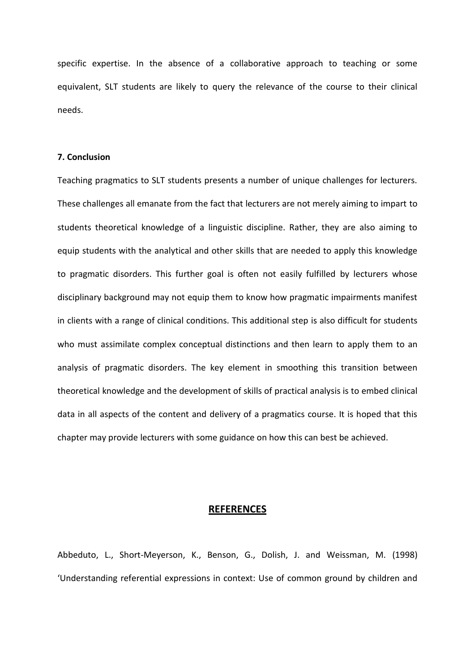specific expertise. In the absence of a collaborative approach to teaching or some equivalent, SLT students are likely to query the relevance of the course to their clinical needs.

## **7. Conclusion**

Teaching pragmatics to SLT students presents a number of unique challenges for lecturers. These challenges all emanate from the fact that lecturers are not merely aiming to impart to students theoretical knowledge of a linguistic discipline. Rather, they are also aiming to equip students with the analytical and other skills that are needed to apply this knowledge to pragmatic disorders. This further goal is often not easily fulfilled by lecturers whose disciplinary background may not equip them to know how pragmatic impairments manifest in clients with a range of clinical conditions. This additional step is also difficult for students who must assimilate complex conceptual distinctions and then learn to apply them to an analysis of pragmatic disorders. The key element in smoothing this transition between theoretical knowledge and the development of skills of practical analysis is to embed clinical data in all aspects of the content and delivery of a pragmatics course. It is hoped that this chapter may provide lecturers with some guidance on how this can best be achieved.

## **REFERENCES**

Abbeduto, L., Short-Meyerson, K., Benson, G., Dolish, J. and Weissman, M. (1998) 'Understanding referential expressions in context: Use of common ground by children and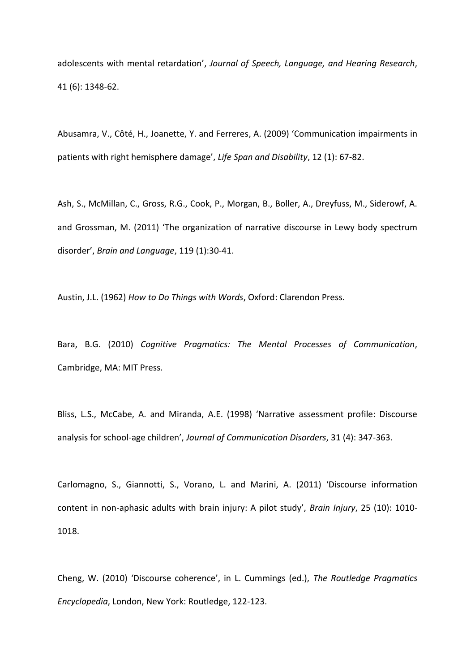adolescents with mental retardation', *Journal of Speech, Language, and Hearing Research*, 41 (6): 1348-62.

Abusamra, V., Côté, H., Joanette, Y. and Ferreres, A. (2009) 'Communication impairments in patients with right hemisphere damage', *Life Span and Disability*, 12 (1): 67-82.

Ash, S., McMillan, C., Gross, R.G., Cook, P., Morgan, B., Boller, A., Dreyfuss, M., Siderowf, A. and Grossman, M. (2011) 'The organization of narrative discourse in Lewy body spectrum disorder', *Brain and Language*, 119 (1):30-41.

Austin, J.L. (1962) *How to Do Things with Words*, Oxford: Clarendon Press.

Bara, B.G. (2010) *Cognitive Pragmatics: The Mental Processes of Communication*, Cambridge, MA: MIT Press.

Bliss, L.S., McCabe, A. and Miranda, A.E. (1998) 'Narrative assessment profile: Discourse analysis for school-age children', *Journal of Communication Disorders*, 31 (4): 347-363.

Carlomagno, S., Giannotti, S., Vorano, L. and Marini, A. (2011) 'Discourse information content in non-aphasic adults with brain injury: A pilot study', *Brain Injury*, 25 (10): 1010- 1018.

Cheng, W. (2010) 'Discourse coherence', in L. Cummings (ed.), *The Routledge Pragmatics Encyclopedia*, London, New York: Routledge, 122-123.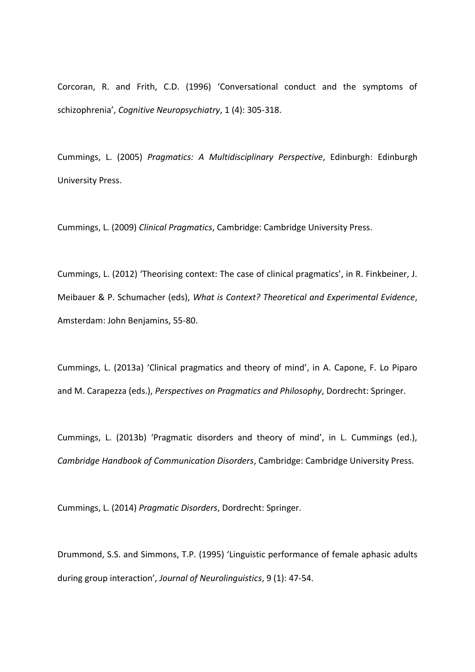Corcoran, R. and Frith, C.D. (1996) 'Conversational conduct and the symptoms of schizophrenia', *Cognitive Neuropsychiatry*, 1 (4): 305-318.

Cummings, L. (2005) *Pragmatics: A Multidisciplinary Perspective*, Edinburgh: Edinburgh University Press.

Cummings, L. (2009) *Clinical Pragmatics*, Cambridge: Cambridge University Press.

Cummings, L. (2012) 'Theorising context: The case of clinical pragmatics', in R. Finkbeiner, J. Meibauer & P. Schumacher (eds), *What is Context? Theoretical and Experimental Evidence*, Amsterdam: John Benjamins, 55-80.

Cummings, L. (2013a) 'Clinical pragmatics and theory of mind', in A. Capone, F. Lo Piparo and M. Carapezza (eds.), *Perspectives on Pragmatics and Philosophy*, Dordrecht: Springer.

Cummings, L. (2013b) 'Pragmatic disorders and theory of mind', in L. Cummings (ed.), *Cambridge Handbook of Communication Disorders*, Cambridge: Cambridge University Press.

Cummings, L. (2014) *Pragmatic Disorders*, Dordrecht: Springer.

Drummond, S.S. and Simmons, T.P. (1995) 'Linguistic performance of female aphasic adults during group interaction', *Journal of Neurolinguistics*, 9 (1): 47-54.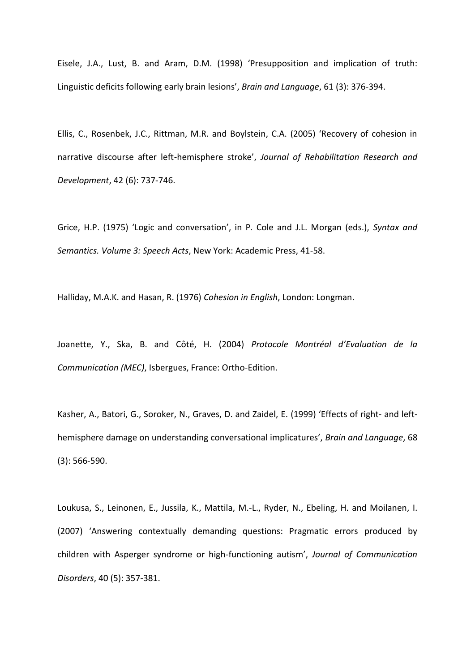Eisele, J.A., Lust, B. and Aram, D.M. (1998) 'Presupposition and implication of truth: Linguistic deficits following early brain lesions', *Brain and Language*, 61 (3): 376-394.

Ellis, C., Rosenbek, J.C., Rittman, M.R. and Boylstein, C.A. (2005) 'Recovery of cohesion in narrative discourse after left-hemisphere stroke', *Journal of Rehabilitation Research and Development*, 42 (6): 737-746.

Grice, H.P. (1975) 'Logic and conversation', in P. Cole and J.L. Morgan (eds.), *Syntax and Semantics. Volume 3: Speech Acts*, New York: Academic Press, 41-58.

Halliday, M.A.K. and Hasan, R. (1976) *Cohesion in English*, London: Longman.

Joanette, Y., Ska, B. and Côté, H. (2004) *Protocole Montréal d'Evaluation de la Communication (MEC)*, Isbergues, France: Ortho-Edition.

Kasher, A., Batori, G., Soroker, N., Graves, D. and Zaidel, E. (1999) 'Effects of right- and lefthemisphere damage on understanding conversational implicatures', *Brain and Language*, 68 (3): 566-590.

Loukusa, S., Leinonen, E., Jussila, K., Mattila, M.-L., Ryder, N., Ebeling, H. and Moilanen, I. (2007) 'Answering contextually demanding questions: Pragmatic errors produced by children with Asperger syndrome or high-functioning autism', *Journal of Communication Disorders*, 40 (5): 357-381.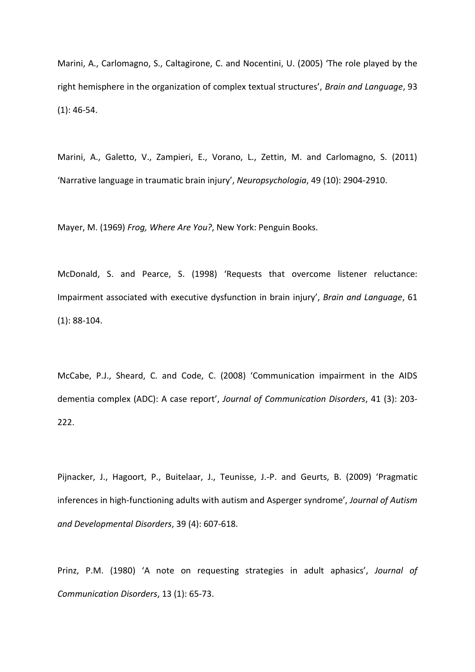Marini, A., Carlomagno, S., Caltagirone, C. and Nocentini, U. (2005) 'The role played by the right hemisphere in the organization of complex textual structures', *Brain and Language*, 93 (1): 46-54.

Marini, A., Galetto, V., Zampieri, E., Vorano, L., Zettin, M. and Carlomagno, S. (2011) 'Narrative language in traumatic brain injury', *Neuropsychologia*, 49 (10): 2904-2910.

Mayer, M. (1969) *Frog, Where Are You?*, New York: Penguin Books.

McDonald, S. and Pearce, S. (1998) 'Requests that overcome listener reluctance: Impairment associated with executive dysfunction in brain injury', *Brain and Language*, 61 (1): 88-104.

McCabe, P.J., Sheard, C. and Code, C. (2008) 'Communication impairment in the AIDS dementia complex (ADC): A case report', *Journal of Communication Disorders*, 41 (3): 203- 222.

Pijnacker, J., Hagoort, P., Buitelaar, J., Teunisse, J.-P. and Geurts, B. (2009) 'Pragmatic inferences in high-functioning adults with autism and Asperger syndrome', *Journal of Autism and Developmental Disorders*, 39 (4): 607-618.

Prinz, P.M. (1980) 'A note on requesting strategies in adult aphasics', *Journal of Communication Disorders*, 13 (1): 65-73.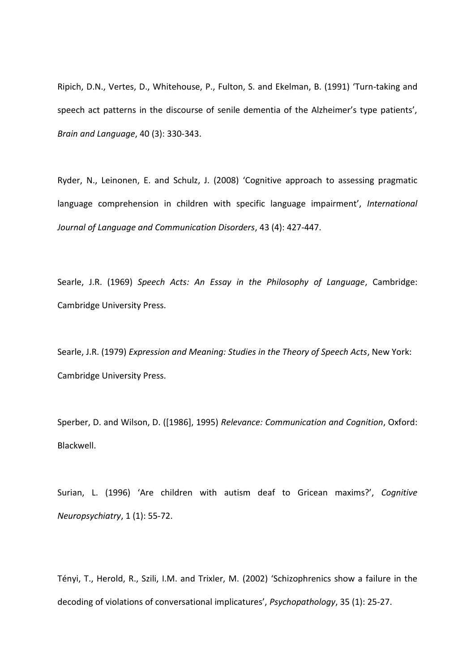Ripich, D.N., Vertes, D., Whitehouse, P., Fulton, S. and Ekelman, B. (1991) 'Turn-taking and speech act patterns in the discourse of senile dementia of the Alzheimer's type patients', *Brain and Language*, 40 (3): 330-343.

Ryder, N., Leinonen, E. and Schulz, J. (2008) 'Cognitive approach to assessing pragmatic language comprehension in children with specific language impairment', *International Journal of Language and Communication Disorders*, 43 (4): 427-447.

Searle, J.R. (1969) *Speech Acts: An Essay in the Philosophy of Language*, Cambridge: Cambridge University Press.

Searle, J.R. (1979) *Expression and Meaning: Studies in the Theory of Speech Acts*, New York: Cambridge University Press.

Sperber, D. and Wilson, D. ([1986], 1995) *Relevance: Communication and Cognition*, Oxford: Blackwell.

Surian, L. (1996) 'Are children with autism deaf to Gricean maxims?', *Cognitive Neuropsychiatry*, 1 (1): 55-72.

Tényi, T., Herold, R., Szili, I.M. and Trixler, M. (2002) 'Schizophrenics show a failure in the decoding of violations of conversational implicatures', *Psychopathology*, 35 (1): 25-27.